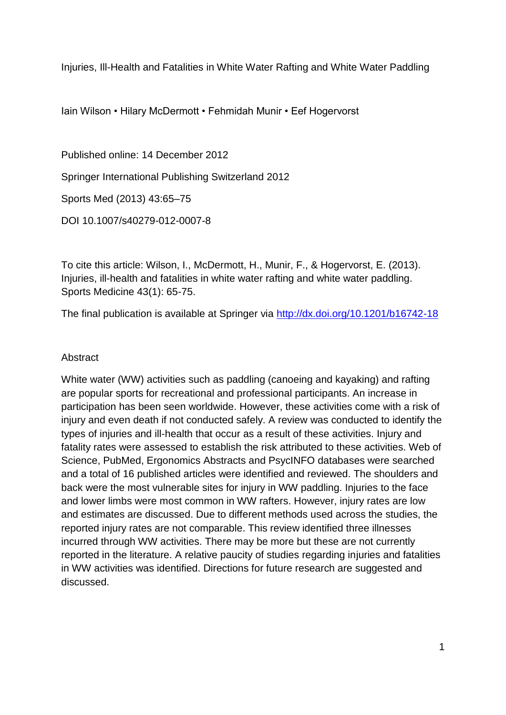Injuries, Ill-Health and Fatalities in White Water Rafting and White Water Paddling

Iain Wilson • Hilary McDermott • Fehmidah Munir • Eef Hogervorst

Published online: 14 December 2012 Springer International Publishing Switzerland 2012 Sports Med (2013) 43:65–75 DOI 10.1007/s40279-012-0007-8

To cite this article: Wilson, I., McDermott, H., Munir, F., & Hogervorst, E. (2013). Injuries, ill-health and fatalities in white water rafting and white water paddling. Sports Medicine 43(1): 65-75.

The final publication is available at Springer via<http://dx.doi.org/10.1201/b16742-18>

#### **Abstract**

White water (WW) activities such as paddling (canoeing and kayaking) and rafting are popular sports for recreational and professional participants. An increase in participation has been seen worldwide. However, these activities come with a risk of injury and even death if not conducted safely. A review was conducted to identify the types of injuries and ill-health that occur as a result of these activities. Injury and fatality rates were assessed to establish the risk attributed to these activities. Web of Science, PubMed, Ergonomics Abstracts and PsycINFO databases were searched and a total of 16 published articles were identified and reviewed. The shoulders and back were the most vulnerable sites for injury in WW paddling. Injuries to the face and lower limbs were most common in WW rafters. However, injury rates are low and estimates are discussed. Due to different methods used across the studies, the reported injury rates are not comparable. This review identified three illnesses incurred through WW activities. There may be more but these are not currently reported in the literature. A relative paucity of studies regarding injuries and fatalities in WW activities was identified. Directions for future research are suggested and discussed.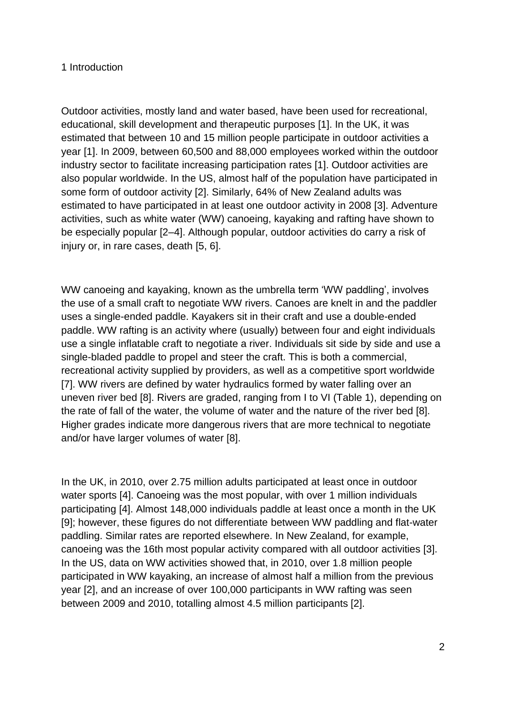#### 1 Introduction

Outdoor activities, mostly land and water based, have been used for recreational, educational, skill development and therapeutic purposes [1]. In the UK, it was estimated that between 10 and 15 million people participate in outdoor activities a year [1]. In 2009, between 60,500 and 88,000 employees worked within the outdoor industry sector to facilitate increasing participation rates [1]. Outdoor activities are also popular worldwide. In the US, almost half of the population have participated in some form of outdoor activity [2]. Similarly, 64% of New Zealand adults was estimated to have participated in at least one outdoor activity in 2008 [3]. Adventure activities, such as white water (WW) canoeing, kayaking and rafting have shown to be especially popular [2–4]. Although popular, outdoor activities do carry a risk of injury or, in rare cases, death [5, 6].

WW canoeing and kayaking, known as the umbrella term 'WW paddling', involves the use of a small craft to negotiate WW rivers. Canoes are knelt in and the paddler uses a single-ended paddle. Kayakers sit in their craft and use a double-ended paddle. WW rafting is an activity where (usually) between four and eight individuals use a single inflatable craft to negotiate a river. Individuals sit side by side and use a single-bladed paddle to propel and steer the craft. This is both a commercial, recreational activity supplied by providers, as well as a competitive sport worldwide [7]. WW rivers are defined by water hydraulics formed by water falling over an uneven river bed [8]. Rivers are graded, ranging from I to VI (Table 1), depending on the rate of fall of the water, the volume of water and the nature of the river bed [8]. Higher grades indicate more dangerous rivers that are more technical to negotiate and/or have larger volumes of water [8].

In the UK, in 2010, over 2.75 million adults participated at least once in outdoor water sports [4]. Canoeing was the most popular, with over 1 million individuals participating [4]. Almost 148,000 individuals paddle at least once a month in the UK [9]; however, these figures do not differentiate between WW paddling and flat-water paddling. Similar rates are reported elsewhere. In New Zealand, for example, canoeing was the 16th most popular activity compared with all outdoor activities [3]. In the US, data on WW activities showed that, in 2010, over 1.8 million people participated in WW kayaking, an increase of almost half a million from the previous year [2], and an increase of over 100,000 participants in WW rafting was seen between 2009 and 2010, totalling almost 4.5 million participants [2].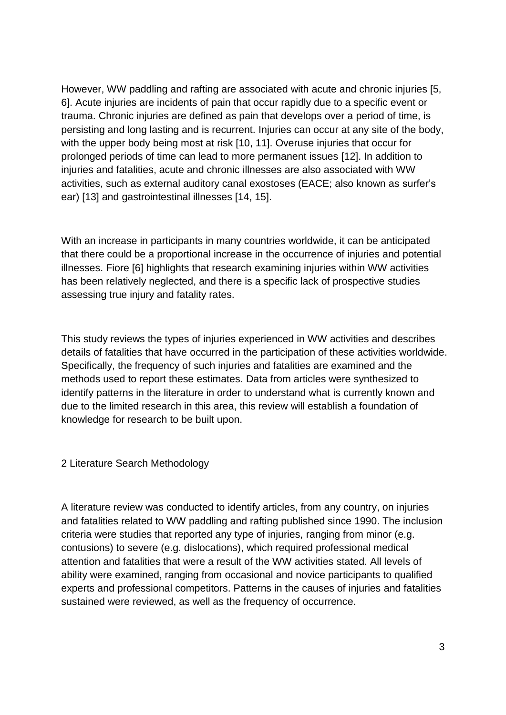However, WW paddling and rafting are associated with acute and chronic injuries [5, 6]. Acute injuries are incidents of pain that occur rapidly due to a specific event or trauma. Chronic injuries are defined as pain that develops over a period of time, is persisting and long lasting and is recurrent. Injuries can occur at any site of the body, with the upper body being most at risk [10, 11]. Overuse injuries that occur for prolonged periods of time can lead to more permanent issues [12]. In addition to injuries and fatalities, acute and chronic illnesses are also associated with WW activities, such as external auditory canal exostoses (EACE; also known as surfer's ear) [13] and gastrointestinal illnesses [14, 15].

With an increase in participants in many countries worldwide, it can be anticipated that there could be a proportional increase in the occurrence of injuries and potential illnesses. Fiore [6] highlights that research examining injuries within WW activities has been relatively neglected, and there is a specific lack of prospective studies assessing true injury and fatality rates.

This study reviews the types of injuries experienced in WW activities and describes details of fatalities that have occurred in the participation of these activities worldwide. Specifically, the frequency of such injuries and fatalities are examined and the methods used to report these estimates. Data from articles were synthesized to identify patterns in the literature in order to understand what is currently known and due to the limited research in this area, this review will establish a foundation of knowledge for research to be built upon.

2 Literature Search Methodology

A literature review was conducted to identify articles, from any country, on injuries and fatalities related to WW paddling and rafting published since 1990. The inclusion criteria were studies that reported any type of injuries, ranging from minor (e.g. contusions) to severe (e.g. dislocations), which required professional medical attention and fatalities that were a result of the WW activities stated. All levels of ability were examined, ranging from occasional and novice participants to qualified experts and professional competitors. Patterns in the causes of injuries and fatalities sustained were reviewed, as well as the frequency of occurrence.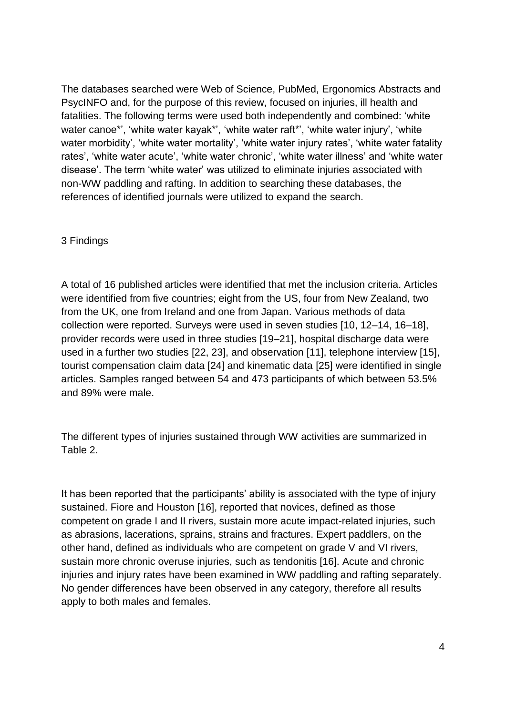The databases searched were Web of Science, PubMed, Ergonomics Abstracts and PsycINFO and, for the purpose of this review, focused on injuries, ill health and fatalities. The following terms were used both independently and combined: 'white water canoe\*', 'white water kayak\*', 'white water raft\*', 'white water injury', 'white water morbidity', 'white water mortality', 'white water injury rates', 'white water fatality rates', 'white water acute', 'white water chronic', 'white water illness' and 'white water disease'. The term 'white water' was utilized to eliminate injuries associated with non-WW paddling and rafting. In addition to searching these databases, the references of identified journals were utilized to expand the search.

#### 3 Findings

A total of 16 published articles were identified that met the inclusion criteria. Articles were identified from five countries; eight from the US, four from New Zealand, two from the UK, one from Ireland and one from Japan. Various methods of data collection were reported. Surveys were used in seven studies [10, 12–14, 16–18], provider records were used in three studies [19–21], hospital discharge data were used in a further two studies [22, 23], and observation [11], telephone interview [15], tourist compensation claim data [24] and kinematic data [25] were identified in single articles. Samples ranged between 54 and 473 participants of which between 53.5% and 89% were male.

The different types of injuries sustained through WW activities are summarized in Table 2.

It has been reported that the participants' ability is associated with the type of injury sustained. Fiore and Houston [16], reported that novices, defined as those competent on grade I and II rivers, sustain more acute impact-related injuries, such as abrasions, lacerations, sprains, strains and fractures. Expert paddlers, on the other hand, defined as individuals who are competent on grade V and VI rivers, sustain more chronic overuse injuries, such as tendonitis [16]. Acute and chronic injuries and injury rates have been examined in WW paddling and rafting separately. No gender differences have been observed in any category, therefore all results apply to both males and females.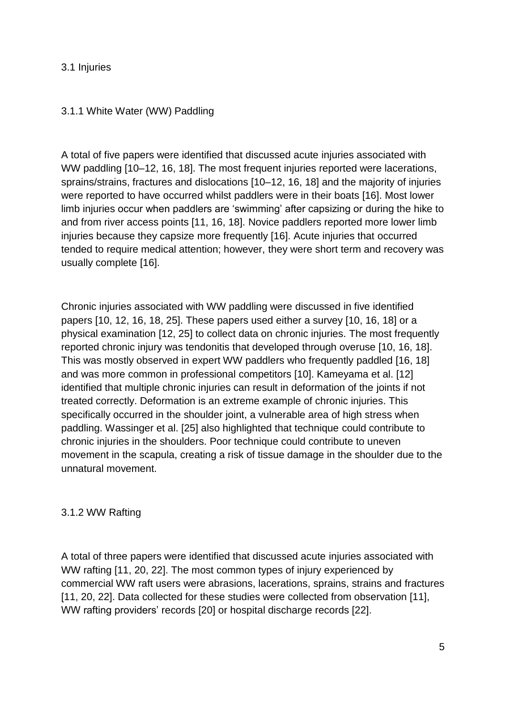#### 3.1 Injuries

#### 3.1.1 White Water (WW) Paddling

A total of five papers were identified that discussed acute injuries associated with WW paddling [10–12, 16, 18]. The most frequent injuries reported were lacerations, sprains/strains, fractures and dislocations [10–12, 16, 18] and the majority of injuries were reported to have occurred whilst paddlers were in their boats [16]. Most lower limb injuries occur when paddlers are 'swimming' after capsizing or during the hike to and from river access points [11, 16, 18]. Novice paddlers reported more lower limb injuries because they capsize more frequently [16]. Acute injuries that occurred tended to require medical attention; however, they were short term and recovery was usually complete [16].

Chronic injuries associated with WW paddling were discussed in five identified papers [10, 12, 16, 18, 25]. These papers used either a survey [10, 16, 18] or a physical examination [12, 25] to collect data on chronic injuries. The most frequently reported chronic injury was tendonitis that developed through overuse [10, 16, 18]. This was mostly observed in expert WW paddlers who frequently paddled [16, 18] and was more common in professional competitors [10]. Kameyama et al. [12] identified that multiple chronic injuries can result in deformation of the joints if not treated correctly. Deformation is an extreme example of chronic injuries. This specifically occurred in the shoulder joint, a vulnerable area of high stress when paddling. Wassinger et al. [25] also highlighted that technique could contribute to chronic injuries in the shoulders. Poor technique could contribute to uneven movement in the scapula, creating a risk of tissue damage in the shoulder due to the unnatural movement.

### 3.1.2 WW Rafting

A total of three papers were identified that discussed acute injuries associated with WW rafting [11, 20, 22]. The most common types of injury experienced by commercial WW raft users were abrasions, lacerations, sprains, strains and fractures [11, 20, 22]. Data collected for these studies were collected from observation [11], WW rafting providers' records [20] or hospital discharge records [22].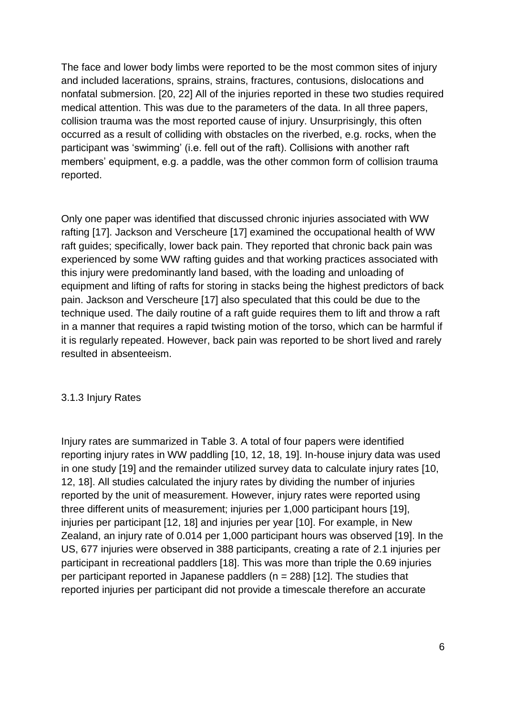The face and lower body limbs were reported to be the most common sites of injury and included lacerations, sprains, strains, fractures, contusions, dislocations and nonfatal submersion. [20, 22] All of the injuries reported in these two studies required medical attention. This was due to the parameters of the data. In all three papers, collision trauma was the most reported cause of injury. Unsurprisingly, this often occurred as a result of colliding with obstacles on the riverbed, e.g. rocks, when the participant was 'swimming' (i.e. fell out of the raft). Collisions with another raft members' equipment, e.g. a paddle, was the other common form of collision trauma reported.

Only one paper was identified that discussed chronic injuries associated with WW rafting [17]. Jackson and Verscheure [17] examined the occupational health of WW raft guides; specifically, lower back pain. They reported that chronic back pain was experienced by some WW rafting guides and that working practices associated with this injury were predominantly land based, with the loading and unloading of equipment and lifting of rafts for storing in stacks being the highest predictors of back pain. Jackson and Verscheure [17] also speculated that this could be due to the technique used. The daily routine of a raft guide requires them to lift and throw a raft in a manner that requires a rapid twisting motion of the torso, which can be harmful if it is regularly repeated. However, back pain was reported to be short lived and rarely resulted in absenteeism.

### 3.1.3 Injury Rates

Injury rates are summarized in Table 3. A total of four papers were identified reporting injury rates in WW paddling [10, 12, 18, 19]. In-house injury data was used in one study [19] and the remainder utilized survey data to calculate injury rates [10, 12, 18]. All studies calculated the injury rates by dividing the number of injuries reported by the unit of measurement. However, injury rates were reported using three different units of measurement; injuries per 1,000 participant hours [19], injuries per participant [12, 18] and injuries per year [10]. For example, in New Zealand, an injury rate of 0.014 per 1,000 participant hours was observed [19]. In the US, 677 injuries were observed in 388 participants, creating a rate of 2.1 injuries per participant in recreational paddlers [18]. This was more than triple the 0.69 injuries per participant reported in Japanese paddlers ( $n = 288$ ) [12]. The studies that reported injuries per participant did not provide a timescale therefore an accurate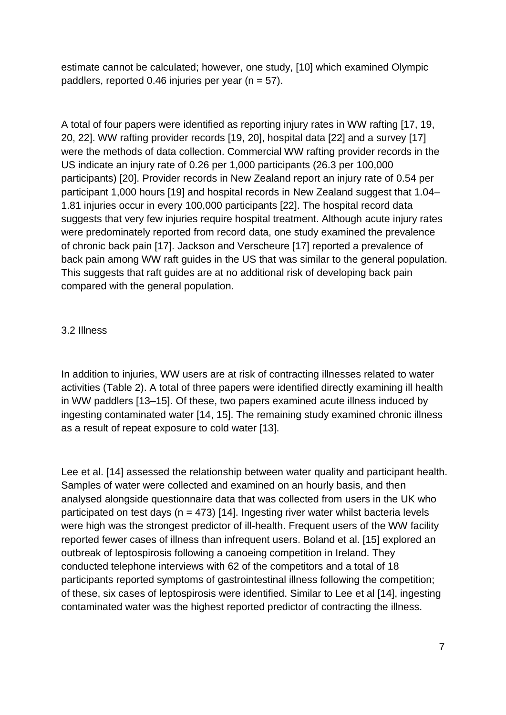estimate cannot be calculated; however, one study, [10] which examined Olympic paddlers, reported 0.46 injuries per year ( $n = 57$ ).

A total of four papers were identified as reporting injury rates in WW rafting [17, 19, 20, 22]. WW rafting provider records [19, 20], hospital data [22] and a survey [17] were the methods of data collection. Commercial WW rafting provider records in the US indicate an injury rate of 0.26 per 1,000 participants (26.3 per 100,000 participants) [20]. Provider records in New Zealand report an injury rate of 0.54 per participant 1,000 hours [19] and hospital records in New Zealand suggest that 1.04– 1.81 injuries occur in every 100,000 participants [22]. The hospital record data suggests that very few injuries require hospital treatment. Although acute injury rates were predominately reported from record data, one study examined the prevalence of chronic back pain [17]. Jackson and Verscheure [17] reported a prevalence of back pain among WW raft guides in the US that was similar to the general population. This suggests that raft guides are at no additional risk of developing back pain compared with the general population.

### 3.2 Illness

In addition to injuries, WW users are at risk of contracting illnesses related to water activities (Table 2). A total of three papers were identified directly examining ill health in WW paddlers [13–15]. Of these, two papers examined acute illness induced by ingesting contaminated water [14, 15]. The remaining study examined chronic illness as a result of repeat exposure to cold water [13].

Lee et al. [14] assessed the relationship between water quality and participant health. Samples of water were collected and examined on an hourly basis, and then analysed alongside questionnaire data that was collected from users in the UK who participated on test days ( $n = 473$ ) [14]. Ingesting river water whilst bacteria levels were high was the strongest predictor of ill-health. Frequent users of the WW facility reported fewer cases of illness than infrequent users. Boland et al. [15] explored an outbreak of leptospirosis following a canoeing competition in Ireland. They conducted telephone interviews with 62 of the competitors and a total of 18 participants reported symptoms of gastrointestinal illness following the competition; of these, six cases of leptospirosis were identified. Similar to Lee et al [14], ingesting contaminated water was the highest reported predictor of contracting the illness.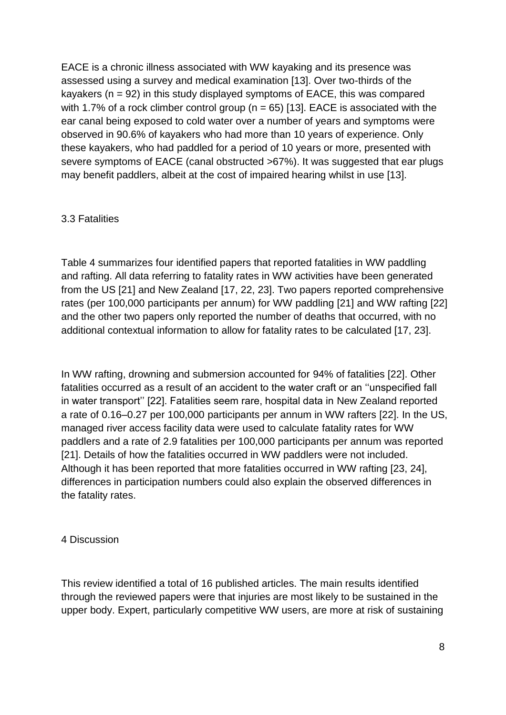EACE is a chronic illness associated with WW kayaking and its presence was assessed using a survey and medical examination [13]. Over two-thirds of the kayakers ( $n = 92$ ) in this study displayed symptoms of EACE, this was compared with 1.7% of a rock climber control group ( $n = 65$ ) [13]. EACE is associated with the ear canal being exposed to cold water over a number of years and symptoms were observed in 90.6% of kayakers who had more than 10 years of experience. Only these kayakers, who had paddled for a period of 10 years or more, presented with severe symptoms of EACE (canal obstructed >67%). It was suggested that ear plugs may benefit paddlers, albeit at the cost of impaired hearing whilst in use [13].

### 3.3 Fatalities

Table 4 summarizes four identified papers that reported fatalities in WW paddling and rafting. All data referring to fatality rates in WW activities have been generated from the US [21] and New Zealand [17, 22, 23]. Two papers reported comprehensive rates (per 100,000 participants per annum) for WW paddling [21] and WW rafting [22] and the other two papers only reported the number of deaths that occurred, with no additional contextual information to allow for fatality rates to be calculated [17, 23].

In WW rafting, drowning and submersion accounted for 94% of fatalities [22]. Other fatalities occurred as a result of an accident to the water craft or an ''unspecified fall in water transport'' [22]. Fatalities seem rare, hospital data in New Zealand reported a rate of 0.16–0.27 per 100,000 participants per annum in WW rafters [22]. In the US, managed river access facility data were used to calculate fatality rates for WW paddlers and a rate of 2.9 fatalities per 100,000 participants per annum was reported [21]. Details of how the fatalities occurred in WW paddlers were not included. Although it has been reported that more fatalities occurred in WW rafting [23, 24], differences in participation numbers could also explain the observed differences in the fatality rates.

#### 4 Discussion

This review identified a total of 16 published articles. The main results identified through the reviewed papers were that injuries are most likely to be sustained in the upper body. Expert, particularly competitive WW users, are more at risk of sustaining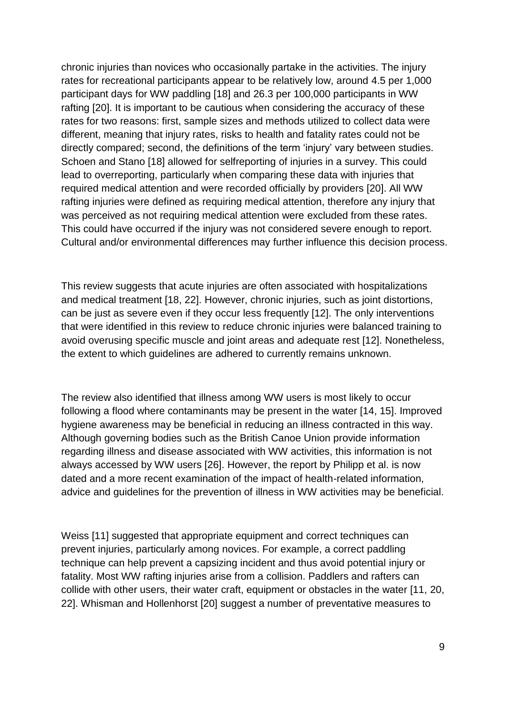chronic injuries than novices who occasionally partake in the activities. The injury rates for recreational participants appear to be relatively low, around 4.5 per 1,000 participant days for WW paddling [18] and 26.3 per 100,000 participants in WW rafting [20]. It is important to be cautious when considering the accuracy of these rates for two reasons: first, sample sizes and methods utilized to collect data were different, meaning that injury rates, risks to health and fatality rates could not be directly compared; second, the definitions of the term 'injury' vary between studies. Schoen and Stano [18] allowed for selfreporting of injuries in a survey. This could lead to overreporting, particularly when comparing these data with injuries that required medical attention and were recorded officially by providers [20]. All WW rafting injuries were defined as requiring medical attention, therefore any injury that was perceived as not requiring medical attention were excluded from these rates. This could have occurred if the injury was not considered severe enough to report. Cultural and/or environmental differences may further influence this decision process.

This review suggests that acute injuries are often associated with hospitalizations and medical treatment [18, 22]. However, chronic injuries, such as joint distortions, can be just as severe even if they occur less frequently [12]. The only interventions that were identified in this review to reduce chronic injuries were balanced training to avoid overusing specific muscle and joint areas and adequate rest [12]. Nonetheless, the extent to which guidelines are adhered to currently remains unknown.

The review also identified that illness among WW users is most likely to occur following a flood where contaminants may be present in the water [14, 15]. Improved hygiene awareness may be beneficial in reducing an illness contracted in this way. Although governing bodies such as the British Canoe Union provide information regarding illness and disease associated with WW activities, this information is not always accessed by WW users [26]. However, the report by Philipp et al. is now dated and a more recent examination of the impact of health-related information, advice and guidelines for the prevention of illness in WW activities may be beneficial.

Weiss [11] suggested that appropriate equipment and correct techniques can prevent injuries, particularly among novices. For example, a correct paddling technique can help prevent a capsizing incident and thus avoid potential injury or fatality. Most WW rafting injuries arise from a collision. Paddlers and rafters can collide with other users, their water craft, equipment or obstacles in the water [11, 20, 22]. Whisman and Hollenhorst [20] suggest a number of preventative measures to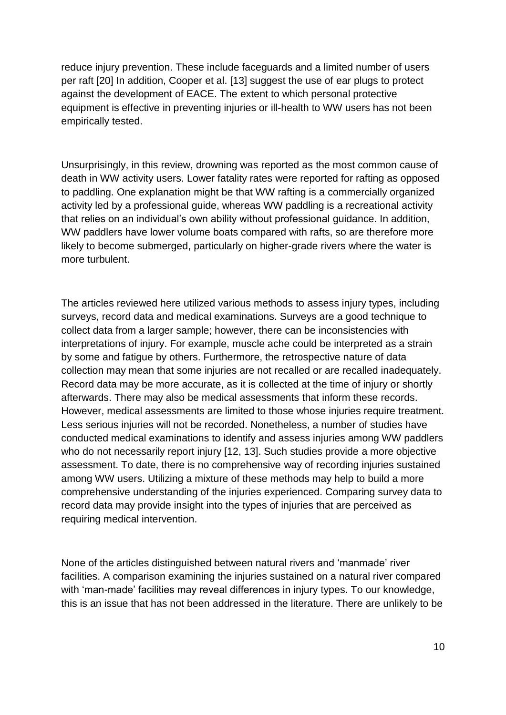reduce injury prevention. These include faceguards and a limited number of users per raft [20] In addition, Cooper et al. [13] suggest the use of ear plugs to protect against the development of EACE. The extent to which personal protective equipment is effective in preventing injuries or ill-health to WW users has not been empirically tested.

Unsurprisingly, in this review, drowning was reported as the most common cause of death in WW activity users. Lower fatality rates were reported for rafting as opposed to paddling. One explanation might be that WW rafting is a commercially organized activity led by a professional guide, whereas WW paddling is a recreational activity that relies on an individual's own ability without professional guidance. In addition, WW paddlers have lower volume boats compared with rafts, so are therefore more likely to become submerged, particularly on higher-grade rivers where the water is more turbulent.

The articles reviewed here utilized various methods to assess injury types, including surveys, record data and medical examinations. Surveys are a good technique to collect data from a larger sample; however, there can be inconsistencies with interpretations of injury. For example, muscle ache could be interpreted as a strain by some and fatigue by others. Furthermore, the retrospective nature of data collection may mean that some injuries are not recalled or are recalled inadequately. Record data may be more accurate, as it is collected at the time of injury or shortly afterwards. There may also be medical assessments that inform these records. However, medical assessments are limited to those whose injuries require treatment. Less serious injuries will not be recorded. Nonetheless, a number of studies have conducted medical examinations to identify and assess injuries among WW paddlers who do not necessarily report injury [12, 13]. Such studies provide a more objective assessment. To date, there is no comprehensive way of recording injuries sustained among WW users. Utilizing a mixture of these methods may help to build a more comprehensive understanding of the injuries experienced. Comparing survey data to record data may provide insight into the types of injuries that are perceived as requiring medical intervention.

None of the articles distinguished between natural rivers and 'manmade' river facilities. A comparison examining the injuries sustained on a natural river compared with 'man-made' facilities may reveal differences in injury types. To our knowledge, this is an issue that has not been addressed in the literature. There are unlikely to be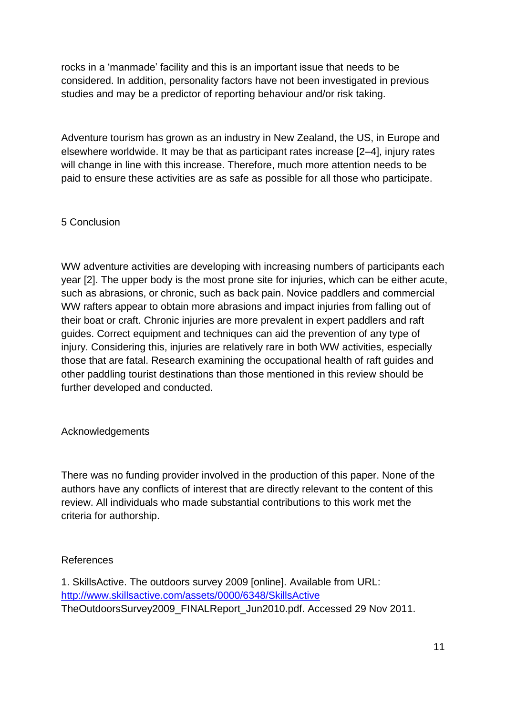rocks in a 'manmade' facility and this is an important issue that needs to be considered. In addition, personality factors have not been investigated in previous studies and may be a predictor of reporting behaviour and/or risk taking.

Adventure tourism has grown as an industry in New Zealand, the US, in Europe and elsewhere worldwide. It may be that as participant rates increase [2–4], injury rates will change in line with this increase. Therefore, much more attention needs to be paid to ensure these activities are as safe as possible for all those who participate.

### 5 Conclusion

WW adventure activities are developing with increasing numbers of participants each year [2]. The upper body is the most prone site for injuries, which can be either acute, such as abrasions, or chronic, such as back pain. Novice paddlers and commercial WW rafters appear to obtain more abrasions and impact injuries from falling out of their boat or craft. Chronic injuries are more prevalent in expert paddlers and raft guides. Correct equipment and techniques can aid the prevention of any type of injury. Considering this, injuries are relatively rare in both WW activities, especially those that are fatal. Research examining the occupational health of raft guides and other paddling tourist destinations than those mentioned in this review should be further developed and conducted.

Acknowledgements

There was no funding provider involved in the production of this paper. None of the authors have any conflicts of interest that are directly relevant to the content of this review. All individuals who made substantial contributions to this work met the criteria for authorship.

### References

1. SkillsActive. The outdoors survey 2009 [online]. Available from URL: <http://www.skillsactive.com/assets/0000/6348/SkillsActive> TheOutdoorsSurvey2009\_FINALReport\_Jun2010.pdf. Accessed 29 Nov 2011.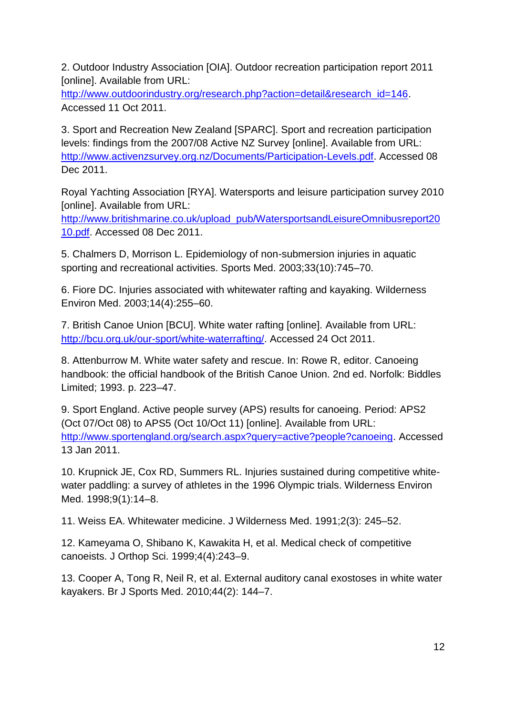2. Outdoor Industry Association [OIA]. Outdoor recreation participation report 2011 [online]. Available from URL:

[http://www.outdoorindustry.org/research.php?action=detail&research\\_id=146.](http://www.outdoorindustry.org/research.php?action=detail&research_id=146) Accessed 11 Oct 2011.

3. Sport and Recreation New Zealand [SPARC]. Sport and recreation participation levels: findings from the 2007/08 Active NZ Survey [online]. Available from URL: [http://www.activenzsurvey.org.nz/Documents/Participation-Levels.pdf.](http://www.activenzsurvey.org.nz/Documents/Participation-Levels.pdf) Accessed 08 Dec 2011.

Royal Yachting Association [RYA]. Watersports and leisure participation survey 2010 [online]. Available from URL:

[http://www.britishmarine.co.uk/upload\\_pub/WatersportsandLeisureOmnibusreport20](http://www.britishmarine.co.uk/upload_pub/WatersportsandLeisureOmnibusreport2010.pdf) [10.pdf.](http://www.britishmarine.co.uk/upload_pub/WatersportsandLeisureOmnibusreport2010.pdf) Accessed 08 Dec 2011.

5. Chalmers D, Morrison L. Epidemiology of non-submersion injuries in aquatic sporting and recreational activities. Sports Med. 2003;33(10):745–70.

6. Fiore DC. Injuries associated with whitewater rafting and kayaking. Wilderness Environ Med. 2003;14(4):255–60.

7. British Canoe Union [BCU]. White water rafting [online]. Available from URL: [http://bcu.org.uk/our-sport/white-waterrafting/.](http://bcu.org.uk/our-sport/white-waterrafting/) Accessed 24 Oct 2011.

8. Attenburrow M. White water safety and rescue. In: Rowe R, editor. Canoeing handbook: the official handbook of the British Canoe Union. 2nd ed. Norfolk: Biddles Limited; 1993. p. 223–47.

9. Sport England. Active people survey (APS) results for canoeing. Period: APS2 (Oct 07/Oct 08) to APS5 (Oct 10/Oct 11) [online]. Available from URL: [http://www.sportengland.org/search.aspx?query=active?people?canoeing.](http://www.sportengland.org/search.aspx?query=active?people?canoeing) Accessed 13 Jan 2011.

10. Krupnick JE, Cox RD, Summers RL. Injuries sustained during competitive whitewater paddling: a survey of athletes in the 1996 Olympic trials. Wilderness Environ Med. 1998;9(1):14–8.

11. Weiss EA. Whitewater medicine. J Wilderness Med. 1991;2(3): 245–52.

12. Kameyama O, Shibano K, Kawakita H, et al. Medical check of competitive canoeists. J Orthop Sci. 1999;4(4):243–9.

13. Cooper A, Tong R, Neil R, et al. External auditory canal exostoses in white water kayakers. Br J Sports Med. 2010;44(2): 144–7.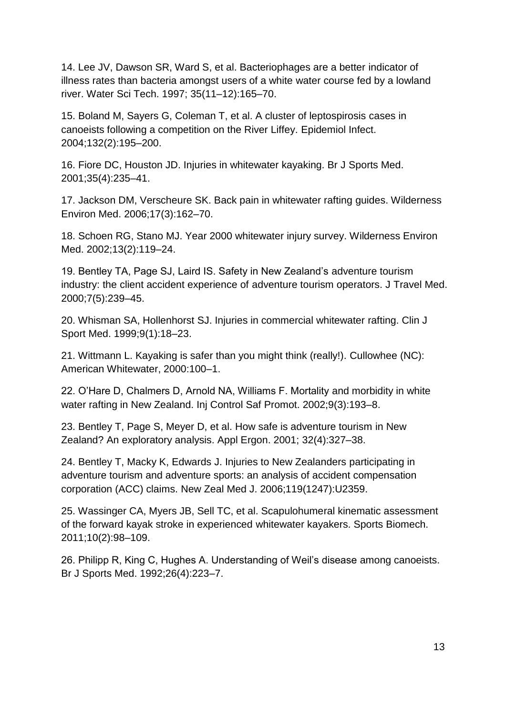14. Lee JV, Dawson SR, Ward S, et al. Bacteriophages are a better indicator of illness rates than bacteria amongst users of a white water course fed by a lowland river. Water Sci Tech. 1997; 35(11–12):165–70.

15. Boland M, Sayers G, Coleman T, et al. A cluster of leptospirosis cases in canoeists following a competition on the River Liffey. Epidemiol Infect. 2004;132(2):195–200.

16. Fiore DC, Houston JD. Injuries in whitewater kayaking. Br J Sports Med. 2001;35(4):235–41.

17. Jackson DM, Verscheure SK. Back pain in whitewater rafting guides. Wilderness Environ Med. 2006;17(3):162–70.

18. Schoen RG, Stano MJ. Year 2000 whitewater injury survey. Wilderness Environ Med. 2002;13(2):119–24.

19. Bentley TA, Page SJ, Laird IS. Safety in New Zealand's adventure tourism industry: the client accident experience of adventure tourism operators. J Travel Med. 2000;7(5):239–45.

20. Whisman SA, Hollenhorst SJ. Injuries in commercial whitewater rafting. Clin J Sport Med. 1999;9(1):18–23.

21. Wittmann L. Kayaking is safer than you might think (really!). Cullowhee (NC): American Whitewater, 2000:100–1.

22. O'Hare D, Chalmers D, Arnold NA, Williams F. Mortality and morbidity in white water rafting in New Zealand. Inj Control Saf Promot. 2002;9(3):193–8.

23. Bentley T, Page S, Meyer D, et al. How safe is adventure tourism in New Zealand? An exploratory analysis. Appl Ergon. 2001; 32(4):327–38.

24. Bentley T, Macky K, Edwards J. Injuries to New Zealanders participating in adventure tourism and adventure sports: an analysis of accident compensation corporation (ACC) claims. New Zeal Med J. 2006;119(1247):U2359.

25. Wassinger CA, Myers JB, Sell TC, et al. Scapulohumeral kinematic assessment of the forward kayak stroke in experienced whitewater kayakers. Sports Biomech. 2011;10(2):98–109.

26. Philipp R, King C, Hughes A. Understanding of Weil's disease among canoeists. Br J Sports Med. 1992;26(4):223–7.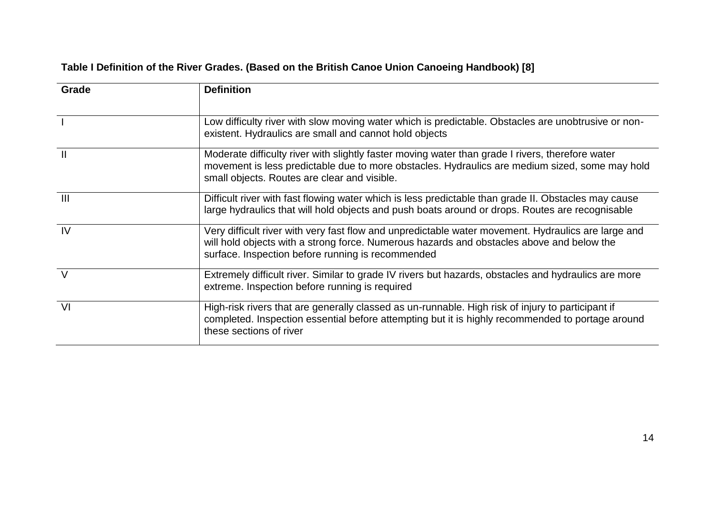| Grade          | <b>Definition</b>                                                                                                                                                                                                                                     |
|----------------|-------------------------------------------------------------------------------------------------------------------------------------------------------------------------------------------------------------------------------------------------------|
|                |                                                                                                                                                                                                                                                       |
|                | Low difficulty river with slow moving water which is predictable. Obstacles are unobtrusive or non-<br>existent. Hydraulics are small and cannot hold objects                                                                                         |
| $\mathbf{  }$  | Moderate difficulty river with slightly faster moving water than grade I rivers, therefore water<br>movement is less predictable due to more obstacles. Hydraulics are medium sized, some may hold<br>small objects. Routes are clear and visible.    |
| $\mathbf{III}$ | Difficult river with fast flowing water which is less predictable than grade II. Obstacles may cause<br>large hydraulics that will hold objects and push boats around or drops. Routes are recognisable                                               |
| <b>IV</b>      | Very difficult river with very fast flow and unpredictable water movement. Hydraulics are large and<br>will hold objects with a strong force. Numerous hazards and obstacles above and below the<br>surface. Inspection before running is recommended |
| $\vee$         | Extremely difficult river. Similar to grade IV rivers but hazards, obstacles and hydraulics are more<br>extreme. Inspection before running is required                                                                                                |
| <b>VI</b>      | High-risk rivers that are generally classed as un-runnable. High risk of injury to participant if<br>completed. Inspection essential before attempting but it is highly recommended to portage around<br>these sections of river                      |

# **Table I Definition of the River Grades. (Based on the British Canoe Union Canoeing Handbook) [8]**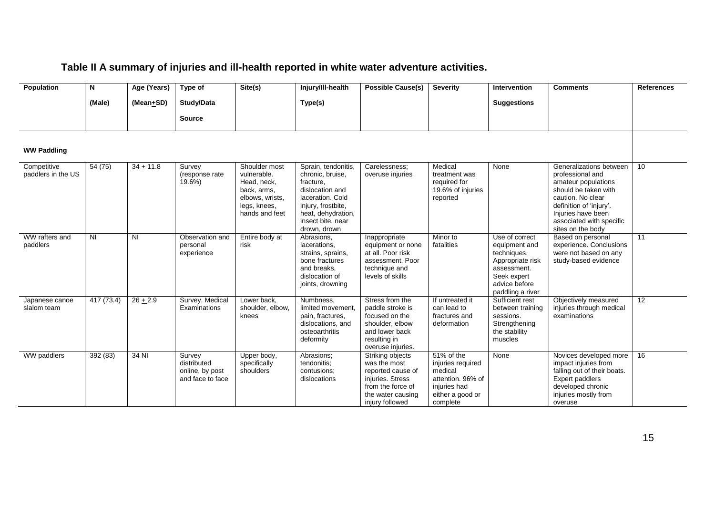# **Table II A summary of injuries and ill-health reported in white water adventure activities.**

| Population                        | N              | Age (Years)   | Type of                                                      | Site(s)                                                                                                         | Injury/III-health                                                                                                                                                            | <b>Possible Cause(s)</b>                                                                                                               | <b>Severity</b>                                                                                                 | Intervention                                                                                                                          | <b>Comments</b>                                                                                                                                                                                                   | <b>References</b> |
|-----------------------------------|----------------|---------------|--------------------------------------------------------------|-----------------------------------------------------------------------------------------------------------------|------------------------------------------------------------------------------------------------------------------------------------------------------------------------------|----------------------------------------------------------------------------------------------------------------------------------------|-----------------------------------------------------------------------------------------------------------------|---------------------------------------------------------------------------------------------------------------------------------------|-------------------------------------------------------------------------------------------------------------------------------------------------------------------------------------------------------------------|-------------------|
|                                   | (Male)         | $(Mean + SD)$ | Study/Data                                                   |                                                                                                                 | Type(s)                                                                                                                                                                      |                                                                                                                                        |                                                                                                                 | <b>Suggestions</b>                                                                                                                    |                                                                                                                                                                                                                   |                   |
|                                   |                |               | <b>Source</b>                                                |                                                                                                                 |                                                                                                                                                                              |                                                                                                                                        |                                                                                                                 |                                                                                                                                       |                                                                                                                                                                                                                   |                   |
| <b>WW Paddling</b>                |                |               |                                                              |                                                                                                                 |                                                                                                                                                                              |                                                                                                                                        |                                                                                                                 |                                                                                                                                       |                                                                                                                                                                                                                   |                   |
| Competitive<br>paddlers in the US | 54 (75)        | $34 + 11.8$   | Survey<br>(response rate<br>19.6%)                           | Shoulder most<br>vulnerable.<br>Head, neck,<br>back, arms,<br>elbows, wrists,<br>legs, knees,<br>hands and feet | Sprain, tendonitis,<br>chronic, bruise,<br>fracture,<br>dislocation and<br>laceration. Cold<br>injury, frostbite,<br>heat, dehydration,<br>insect bite, near<br>drown, drown | Carelessness:<br>overuse injuries                                                                                                      | Medical<br>treatment was<br>required for<br>19.6% of injuries<br>reported                                       | None                                                                                                                                  | Generalizations between<br>professional and<br>amateur populations<br>should be taken with<br>caution. No clear<br>definition of 'injury'.<br>Injuries have been<br>associated with specific<br>sites on the body | 10                |
| WW rafters and<br>paddlers        | N <sub>l</sub> | ΝI            | Observation and<br>personal<br>experience                    | Entire body at<br>risk                                                                                          | Abrasions,<br>lacerations,<br>strains, sprains,<br>bone fractures<br>and breaks.<br>dislocation of<br>joints, drowning                                                       | Inappropriate<br>equipment or none<br>at all. Poor risk<br>assessment. Poor<br>technique and<br>levels of skills                       | Minor to<br>fatalities                                                                                          | Use of correct<br>equipment and<br>techniques.<br>Appropriate risk<br>assessment.<br>Seek expert<br>advice before<br>paddling a river | Based on personal<br>experience. Conclusions<br>were not based on any<br>study-based evidence                                                                                                                     | 11                |
| Japanese canoe<br>slalom team     | 417(73.4)      | $26 + 2.9$    | Survey. Medical<br>Examinations                              | Lower back.<br>shoulder, elbow,<br>knees                                                                        | Numbness.<br>limited movement.<br>pain, fractures,<br>dislocations, and<br>osteoarthritis<br>deformity                                                                       | Stress from the<br>paddle stroke is<br>focused on the<br>shoulder, elbow<br>and lower back<br>resulting in<br>overuse injuries.        | If untreated it<br>can lead to<br>fractures and<br>deformation                                                  | Sufficient rest<br>between training<br>sessions.<br>Strengthening<br>the stability<br>muscles                                         | Objectively measured<br>injuries through medical<br>examinations                                                                                                                                                  | 12                |
| WW paddlers                       | 392(83)        | $34$ NI       | Survey<br>distributed<br>online, by post<br>and face to face | Upper body,<br>specifically<br>shoulders                                                                        | Abrasions;<br>tendonitis:<br>contusions;<br>dislocations                                                                                                                     | Striking objects<br>was the most<br>reported cause of<br>injuries. Stress<br>from the force of<br>the water causing<br>injury followed | 51% of the<br>injuries required<br>medical<br>attention. 96% of<br>injuries had<br>either a good or<br>complete | None                                                                                                                                  | Novices developed more<br>impact injuries from<br>falling out of their boats.<br>Expert paddlers<br>developed chronic<br>injuries mostly from<br>overuse                                                          | $\overline{16}$   |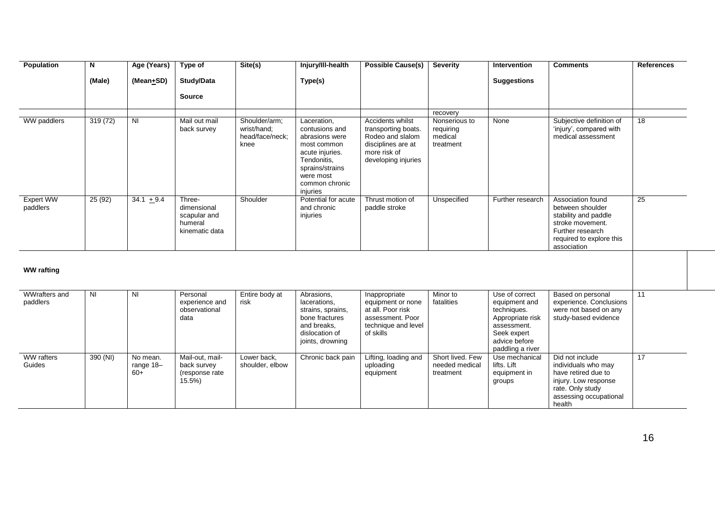| Population            | N       | Age (Years)    | Type of                                                            | Site(s)                                                 | Injury/III-health                                                                                                                                              | <b>Possible Cause(s)</b>                                                                                                 | <b>Severity</b>                                    | <b>Intervention</b> | <b>Comments</b>                                                                                                                                  | <b>References</b> |
|-----------------------|---------|----------------|--------------------------------------------------------------------|---------------------------------------------------------|----------------------------------------------------------------------------------------------------------------------------------------------------------------|--------------------------------------------------------------------------------------------------------------------------|----------------------------------------------------|---------------------|--------------------------------------------------------------------------------------------------------------------------------------------------|-------------------|
|                       | (Male)  | (Mean±SD)      | <b>Study/Data</b>                                                  |                                                         | Type(s)                                                                                                                                                        |                                                                                                                          |                                                    | <b>Suggestions</b>  |                                                                                                                                                  |                   |
|                       |         |                | <b>Source</b>                                                      |                                                         |                                                                                                                                                                |                                                                                                                          |                                                    |                     |                                                                                                                                                  |                   |
|                       |         |                |                                                                    |                                                         |                                                                                                                                                                |                                                                                                                          | recovery                                           |                     |                                                                                                                                                  |                   |
| WW paddlers           | 319(72) | <b>NI</b>      | Mail out mail<br>back survey                                       | Shoulder/arm;<br>wrist/hand;<br>head/face/neck;<br>knee | Laceration,<br>contusions and<br>abrasions were<br>most common<br>acute injuries.<br>Tendonitis,<br>sprains/strains<br>were most<br>common chronic<br>injuries | Accidents whilst<br>transporting boats.<br>Rodeo and slalom<br>disciplines are at<br>more risk of<br>developing injuries | Nonserious to<br>requiring<br>medical<br>treatment | None                | Subjective definition of<br>'injury', compared with<br>medical assessment                                                                        | 18                |
| Expert WW<br>paddlers | 25 (92) | 34.1 $\pm$ 9.4 | Three-<br>dimensional<br>scapular and<br>humeral<br>kinematic data | Shoulder                                                | Potential for acute<br>and chronic<br>injuries                                                                                                                 | Thrust motion of<br>paddle stroke                                                                                        | Unspecified                                        | Further research    | Association found<br>between shoulder<br>stability and paddle<br>stroke movement.<br>Further research<br>required to explore this<br>association | 25                |
| $MAMAL = 44.5$        |         |                |                                                                    |                                                         |                                                                                                                                                                |                                                                                                                          |                                                    |                     |                                                                                                                                                  |                   |

#### **WW rafting**

| WWrafters and<br>paddlers | ΝI       | NI.                            | Personal<br>experience and<br>observational<br>data        | Entire body at<br>risk         | Abrasions,<br>lacerations,<br>strains, sprains,<br>bone fractures<br>and breaks.<br>dislocation of<br>joints, drowning | Inappropriate<br>equipment or none<br>at all. Poor risk<br>assessment. Poor<br>technique and level<br>of skills | Minor to<br>fatalities                          | Use of correct<br>equipment and<br>techniques.<br>Appropriate risk<br>assessment.<br>Seek expert<br>advice before<br>paddling a river | Based on personal<br>experience. Conclusions<br>were not based on any<br>study-based evidence                                                 |    |
|---------------------------|----------|--------------------------------|------------------------------------------------------------|--------------------------------|------------------------------------------------------------------------------------------------------------------------|-----------------------------------------------------------------------------------------------------------------|-------------------------------------------------|---------------------------------------------------------------------------------------------------------------------------------------|-----------------------------------------------------------------------------------------------------------------------------------------------|----|
| WW rafters<br>Guides      | 390 (NI) | No mean.<br>range 18-<br>$60+$ | Mail-out, mail-<br>back survey<br>(response rate)<br>15.5% | Lower back,<br>shoulder, elbow | Chronic back pain                                                                                                      | Lifting, loading and<br>uploading<br>equipment                                                                  | Short lived. Few<br>needed medical<br>treatment | Use mechanical<br>lifts. Lift<br>equipment in<br>groups                                                                               | Did not include<br>individuals who may<br>have retired due to<br>injury. Low response<br>rate. Only study<br>assessing occupational<br>health | 17 |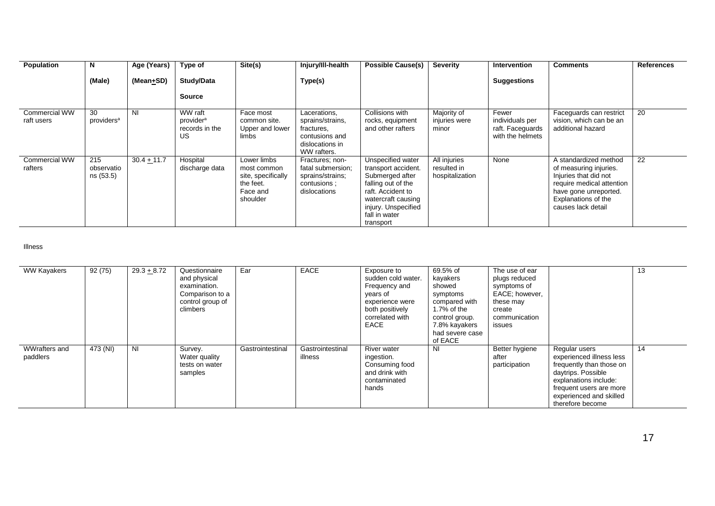| Population                      | N                              | Age (Years)   | Type of                                                         | Site(s)                                                                               | Injury/III-health                                                                                  | <b>Possible Cause(s)</b>                                                                                                                                                          | <b>Severity</b>                                | Intervention                                                     | <b>Comments</b>                                                                                                                                                             | <b>References</b> |
|---------------------------------|--------------------------------|---------------|-----------------------------------------------------------------|---------------------------------------------------------------------------------------|----------------------------------------------------------------------------------------------------|-----------------------------------------------------------------------------------------------------------------------------------------------------------------------------------|------------------------------------------------|------------------------------------------------------------------|-----------------------------------------------------------------------------------------------------------------------------------------------------------------------------|-------------------|
|                                 | (Male)                         | (Mean+SD)     | <b>Study/Data</b><br><b>Source</b>                              |                                                                                       | Type(s)                                                                                            |                                                                                                                                                                                   |                                                | <b>Suggestions</b>                                               |                                                                                                                                                                             |                   |
| Commercial WW<br>raft users     | 30<br>providers <sup>a</sup>   | <b>NI</b>     | WW raft<br>provider <sup>a</sup><br>records in the<br><b>US</b> | Face most<br>common site.<br>Upper and lower<br>limbs                                 | Lacerations,<br>sprains/strains,<br>fractures,<br>contusions and<br>dislocations in<br>WW rafters. | Collisions with<br>rocks, equipment<br>and other rafters                                                                                                                          | Majority of<br>injuries were<br>minor          | Fewer<br>individuals per<br>raft. Faceguards<br>with the helmets | Faceguards can restrict<br>vision, which can be an<br>additional hazard                                                                                                     | 20                |
| <b>Commercial WW</b><br>rafters | 215<br>observatio<br>ns (53.5) | $30.4 + 11.7$ | Hospital<br>discharge data                                      | Lower limbs<br>most common<br>site, specifically<br>the feet.<br>Face and<br>shoulder | Fractures; non-<br>fatal submersion;<br>sprains/strains;<br>contusions ;<br>dislocations           | Unspecified water<br>transport accident.<br>Submerged after<br>falling out of the<br>raft. Accident to<br>watercraft causing<br>injury. Unspecified<br>fall in water<br>transport | All injuries<br>resulted in<br>hospitalization | None                                                             | A standardized method<br>of measuring injuries.<br>Injuries that did not<br>require medical attention<br>have gone unreported.<br>Explanations of the<br>causes lack detail | 22                |

#### Illness

| <b>WW Kayakers</b>               | 92 (75)  | $29.3 + 8.72$ | Questionnaire<br>and physical<br>examination.<br>Comparison to a<br>control group of<br>climbers | Ear              | <b>EACE</b>                 | Exposure to<br>sudden cold water.<br>Frequency and<br>years of<br>experience were<br>both positively<br>correlated with<br>EACE | 69.5% of<br>kayakers<br>showed<br>symptoms<br>compared with<br>1.7% of the<br>control group.<br>7.8% kayakers<br>had severe case<br>of EACE | The use of ear<br>plugs reduced<br>symptoms of<br>EACE; however,<br>these may<br>create<br>communication<br>issues |                                                                                                                                                                                                | 13 |
|----------------------------------|----------|---------------|--------------------------------------------------------------------------------------------------|------------------|-----------------------------|---------------------------------------------------------------------------------------------------------------------------------|---------------------------------------------------------------------------------------------------------------------------------------------|--------------------------------------------------------------------------------------------------------------------|------------------------------------------------------------------------------------------------------------------------------------------------------------------------------------------------|----|
| <b>WWrafters and</b><br>paddlers | 473 (NI) | <b>NI</b>     | Survey.<br>Water quality<br>tests on water<br>samples                                            | Gastrointestinal | Gastrointestinal<br>illness | <b>River water</b><br>ingestion.<br>Consuming food<br>and drink with<br>contaminated<br>hands                                   | ΝI                                                                                                                                          | Better hygiene<br>after<br>participation                                                                           | Regular users<br>experienced illness less<br>frequently than those on<br>daytrips. Possible<br>explanations include:<br>frequent users are more<br>experienced and skilled<br>therefore become | 14 |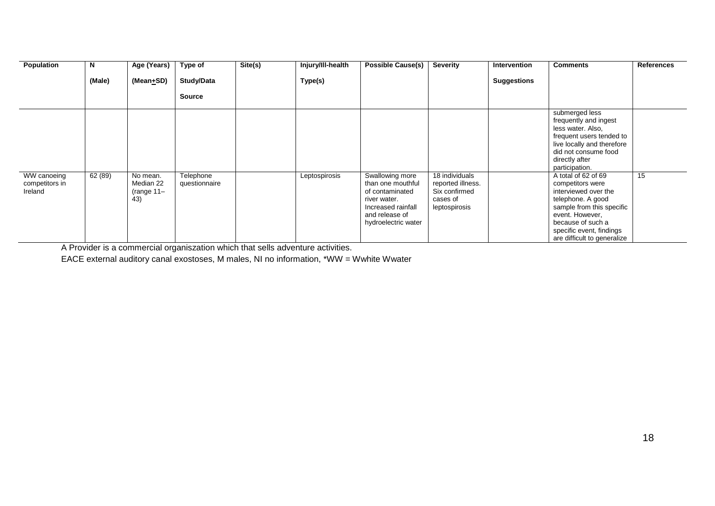| Population                               | N       | Age (Years)                                | Type of                    | Site(s) | Injury/III-health | <b>Possible Cause(s)</b>                                                                                                               | <b>Severity</b>                                                                   | Intervention       | <b>Comments</b>                                                                                                                                                                                                      | <b>References</b> |
|------------------------------------------|---------|--------------------------------------------|----------------------------|---------|-------------------|----------------------------------------------------------------------------------------------------------------------------------------|-----------------------------------------------------------------------------------|--------------------|----------------------------------------------------------------------------------------------------------------------------------------------------------------------------------------------------------------------|-------------------|
|                                          | (Male)  | (Mean <u>+</u> SD)                         | <b>Study/Data</b>          |         | Type(s)           |                                                                                                                                        |                                                                                   | <b>Suggestions</b> |                                                                                                                                                                                                                      |                   |
|                                          |         |                                            | <b>Source</b>              |         |                   |                                                                                                                                        |                                                                                   |                    |                                                                                                                                                                                                                      |                   |
|                                          |         |                                            |                            |         |                   |                                                                                                                                        |                                                                                   |                    | submerged less<br>frequently and ingest<br>less water. Also,<br>frequent users tended to<br>live locally and therefore<br>did not consume food<br>directly after<br>participation.                                   |                   |
| WW canoeing<br>competitors in<br>Ireland | 62 (89) | No mean.<br>Median 22<br>(range 11–<br>43) | Telephone<br>questionnaire |         | Leptospirosis     | Swallowing more<br>than one mouthful<br>of contaminated<br>river water.<br>Increased rainfall<br>and release of<br>hydroelectric water | 18 individuals<br>reported illness.<br>Six confirmed<br>cases of<br>leptospirosis |                    | A total of 62 of 69<br>competitors were<br>interviewed over the<br>telephone. A good<br>sample from this specific<br>event. However,<br>because of such a<br>specific event, findings<br>are difficult to generalize | 15                |

A Provider is a commercial organiszation which that sells adventure activities.

EACE external auditory canal exostoses, M males, NI no information, \*WW = Wwhite Wwater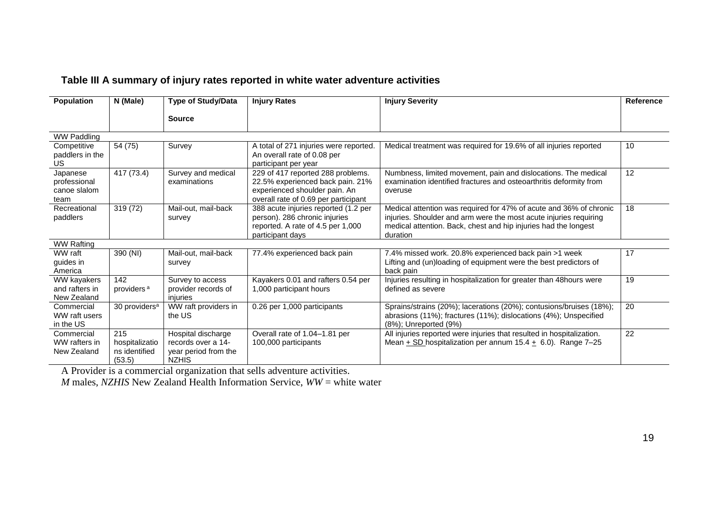### **Table III A summary of injury rates reported in white water adventure activities**

| <b>Population</b>                                | N (Male)                                         | <b>Type of Study/Data</b>                                                        | <b>Injury Rates</b>                                                                                                                            | <b>Injury Severity</b>                                                                                                                                                                                                 | Reference |
|--------------------------------------------------|--------------------------------------------------|----------------------------------------------------------------------------------|------------------------------------------------------------------------------------------------------------------------------------------------|------------------------------------------------------------------------------------------------------------------------------------------------------------------------------------------------------------------------|-----------|
|                                                  |                                                  | <b>Source</b>                                                                    |                                                                                                                                                |                                                                                                                                                                                                                        |           |
| <b>WW Paddling</b>                               |                                                  |                                                                                  |                                                                                                                                                |                                                                                                                                                                                                                        |           |
| Competitive<br>paddlers in the<br>US             | 54 (75)                                          | Survey                                                                           | A total of 271 injuries were reported.<br>An overall rate of 0.08 per<br>participant per year                                                  | Medical treatment was required for 19.6% of all injuries reported                                                                                                                                                      | 10        |
| Japanese<br>professional<br>canoe slalom<br>team | 417 (73.4)                                       | Survey and medical<br>examinations                                               | 229 of 417 reported 288 problems.<br>22.5% experienced back pain. 21%<br>experienced shoulder pain. An<br>overall rate of 0.69 per participant | Numbness, limited movement, pain and dislocations. The medical<br>examination identified fractures and osteoarthritis deformity from<br>overuse                                                                        | 12        |
| Recreational<br>paddlers                         | 319 (72)                                         | Mail-out, mail-back<br>survey                                                    | 388 acute injuries reported (1.2 per<br>person). 286 chronic injuries<br>reported. A rate of 4.5 per 1,000<br>participant days                 | Medical attention was required for 47% of acute and 36% of chronic<br>injuries. Shoulder and arm were the most acute injuries requiring<br>medical attention. Back, chest and hip injuries had the longest<br>duration | 18        |
| <b>WW Rafting</b>                                |                                                  |                                                                                  |                                                                                                                                                |                                                                                                                                                                                                                        |           |
| WW raft<br>guides in<br>America                  | 390 (NI)                                         | Mail-out, mail-back<br>survey                                                    | 77.4% experienced back pain                                                                                                                    | 7.4% missed work. 20.8% experienced back pain >1 week<br>Lifting and (un)loading of equipment were the best predictors of<br>back pain                                                                                 | 17        |
| WW kayakers<br>and rafters in<br>New Zealand     | 142<br>providers <sup>a</sup>                    | Survey to access<br>provider records of<br>injuries                              | Kayakers 0.01 and rafters 0.54 per<br>1,000 participant hours                                                                                  | Injuries resulting in hospitalization for greater than 48 hours were<br>defined as severe                                                                                                                              | 19        |
| Commercial<br>WW raft users<br>in the US         | 30 providers <sup>a</sup>                        | WW raft providers in<br>the US                                                   | 0.26 per 1,000 participants                                                                                                                    | Sprains/strains (20%); lacerations (20%); contusions/bruises (18%);<br>abrasions (11%); fractures (11%); dislocations (4%); Unspecified<br>(8%); Unreported (9%)                                                       | 20        |
| Commercial<br>WW rafters in<br>New Zealand       | 215<br>hospitalizatio<br>ns identified<br>(53.5) | Hospital discharge<br>records over a 14-<br>year period from the<br><b>NZHIS</b> | Overall rate of 1.04-1.81 per<br>100,000 participants                                                                                          | All injuries reported were injuries that resulted in hospitalization.<br>Mean $\pm$ SD hospitalization per annum 15.4 $\pm$ 6.0). Range 7-25                                                                           | 22        |

A Provider is a commercial organization that sells adventure activities.

*M* males, *NZHIS* New Zealand Health Information Service, *WW* = white water